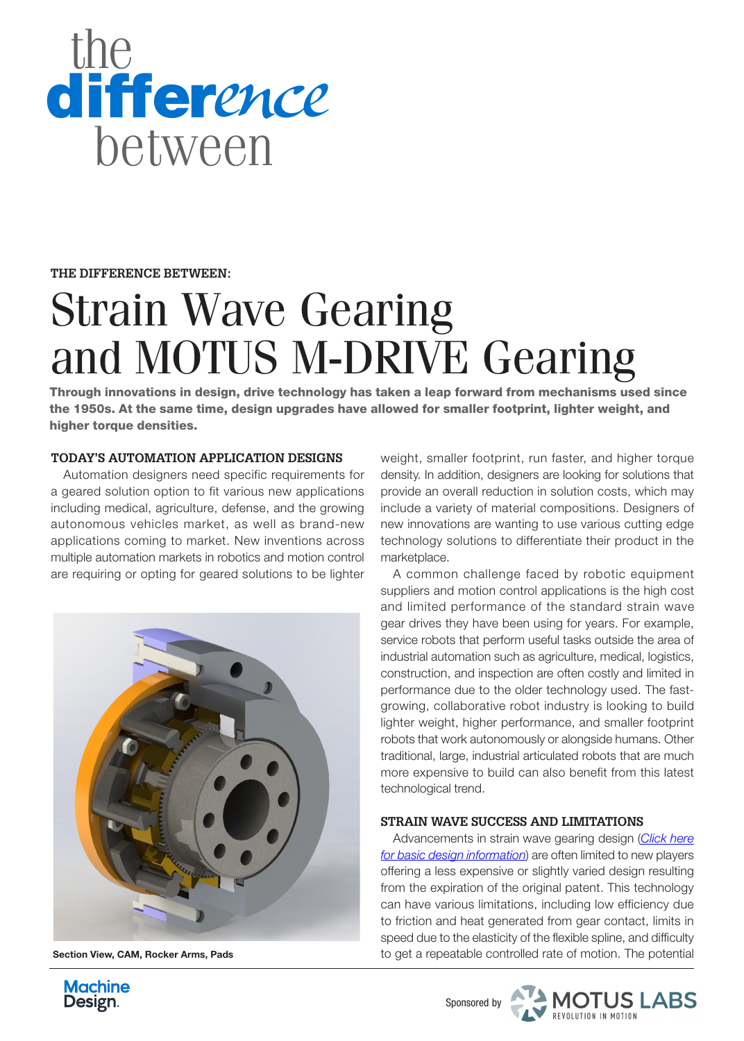

**THE DIFFERENCE BETWEEN:**

# Strain Wave Gearing and MOTUS M-DRIVE Gearing

Through innovations in design, drive technology has taken a leap forward from mechanisms used since the 1950s. At the same time, design upgrades have allowed for smaller footprint, lighter weight, and higher torque densities.

### **TODAY'S AUTOMATION APPLICATION DESIGNS**

Automation designers need specific requirements for a geared solution option to fit various new applications including medical, agriculture, defense, and the growing autonomous vehicles market, as well as brand-new applications coming to market. New inventions across multiple automation markets in robotics and motion control are requiring or opting for geared solutions to be lighter



Section View, CAM, Rocker Arms, Pads

weight, smaller footprint, run faster, and higher torque density. In addition, designers are looking for solutions that provide an overall reduction in solution costs, which may include a variety of material compositions. Designers of new innovations are wanting to use various cutting edge technology solutions to differentiate their product in the marketplace.

A common challenge faced by robotic equipment suppliers and motion control applications is the high cost and limited performance of the standard strain wave gear drives they have been using for years. For example, service robots that perform useful tasks outside the area of industrial automation such as agriculture, medical, logistics, construction, and inspection are often costly and limited in performance due to the older technology used. The fastgrowing, collaborative robot industry is looking to build lighter weight, higher performance, and smaller footprint robots that work autonomously or alongside humans. Other traditional, large, industrial articulated robots that are much more expensive to build can also benefit from this latest technological trend.

## **STRAIN WAVE SUCCESS AND LIMITATIONS**

Advancements in strain wave gearing design (*[Click here](https://en.wikipedia.org/wiki/Strain_wave_gearing)  [for basic design information](https://en.wikipedia.org/wiki/Strain_wave_gearing)*) are often limited to new players offering a less expensive or slightly varied design resulting from the expiration of the original patent. This technology can have various limitations, including low efficiency due to friction and heat generated from gear contact, limits in speed due to the elasticity of the flexible spline, and difficulty to get a repeatable controlled rate of motion. The potential



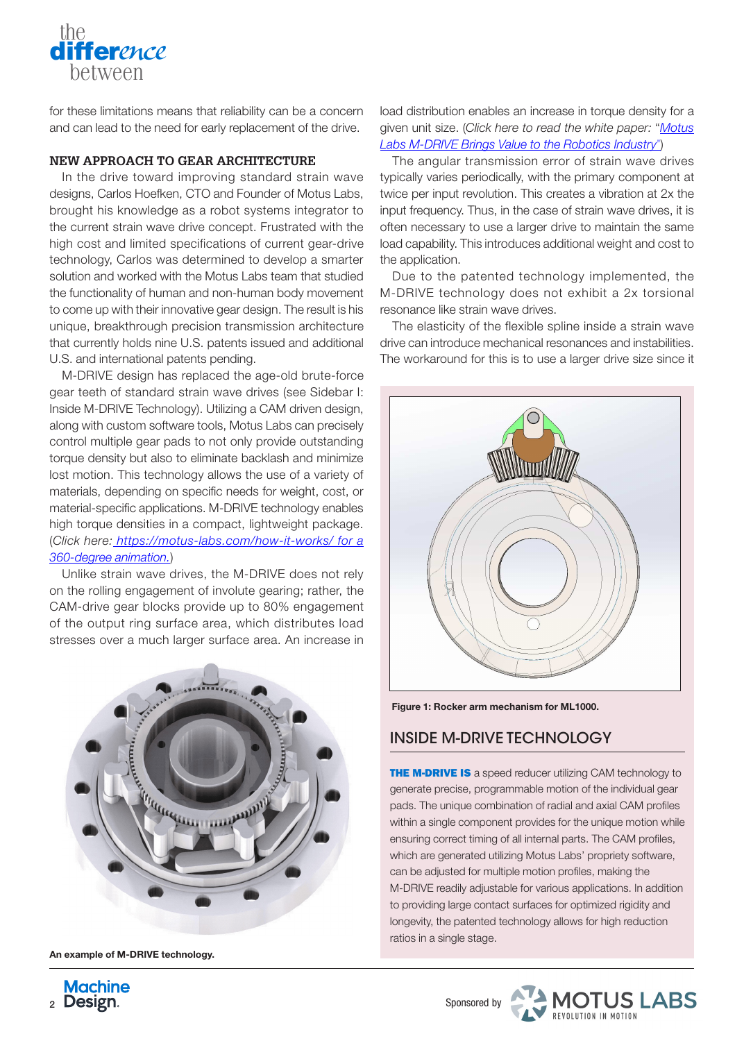for these limitations means that reliability can be a concern and can lead to the need for early replacement of the drive.

### **NEW APPROACH TO GEAR ARCHITECTURE**

the

difference between

In the drive toward improving standard strain wave designs, Carlos Hoefken, CTO and Founder of Motus Labs, brought his knowledge as a robot systems integrator to the current strain wave drive concept. Frustrated with the high cost and limited specifications of current gear-drive technology, Carlos was determined to develop a smarter solution and worked with the Motus Labs team that studied the functionality of human and non-human body movement to come up with their innovative gear design. The result is his unique, breakthrough precision transmission architecture that currently holds nine U.S. patents issued and additional U.S. and international patents pending.

M-DRIVE design has replaced the age-old brute-force gear teeth of standard strain wave drives (see Sidebar I: Inside M-DRIVE Technology). Utilizing a CAM driven design, along with custom software tools, Motus Labs can precisely control multiple gear pads to not only provide outstanding torque density but also to eliminate backlash and minimize lost motion. This technology allows the use of a variety of materials, depending on specific needs for weight, cost, or material-specific applications. M-DRIVE technology enables high torque densities in a compact, lightweight package. (*Click here: <https://motus-labs.com/how-it-works/>for a 360-degree animation.*)

Unlike strain wave drives, the M-DRIVE does not rely on the rolling engagement of involute gearing; rather, the CAM-drive gear blocks provide up to 80% engagement of the output ring surface area, which distributes load stresses over a much larger surface area. An increase in



An example of M-DRIVE technology.

load distribution enables an increase in torque density for a given unit size. (*[Click here](https://southcomm-my.sharepoint.com/personal/mhunt_endeavorb2b_com/Documents/Desktop/Motus_Whitepaper_12_2020.pdf) to read the white paper:* "*[Motus](https://southcomm-https://motus-labs.com/wp-content/uploads/2021/02/Motus_Whitepaper_12_2020-1.pdf)  [Labs M-DRIVE Brings Value to the Robotics Industry](https://southcomm-https://motus-labs.com/wp-content/uploads/2021/02/Motus_Whitepaper_12_2020-1.pdf)*")

The angular transmission error of strain wave drives typically varies periodically, with the primary component at twice per input revolution. This creates a vibration at 2x the input frequency. Thus, in the case of strain wave drives, it is often necessary to use a larger drive to maintain the same load capability. This introduces additional weight and cost to the application.

Due to the patented technology implemented, the M-DRIVE technology does not exhibit a 2x torsional resonance like strain wave drives.

The elasticity of the flexible spline inside a strain wave drive can introduce mechanical resonances and instabilities. The workaround for this is to use a larger drive size since it



Figure 1: Rocker arm mechanism for ML1000.

## INSIDE M-DRIVE TECHNOLOGY

**THE M-DRIVE IS** a speed reducer utilizing CAM technology to generate precise, programmable motion of the individual gear pads. The unique combination of radial and axial CAM profiles within a single component provides for the unique motion while ensuring correct timing of all internal parts. The CAM profiles, which are generated utilizing Motus Labs' propriety software, can be adjusted for multiple motion profiles, making the M-DRIVE readily adjustable for various applications. In addition to providing large contact surfaces for optimized rigidity and longevity, the patented technology allows for high reduction ratios in a single stage.